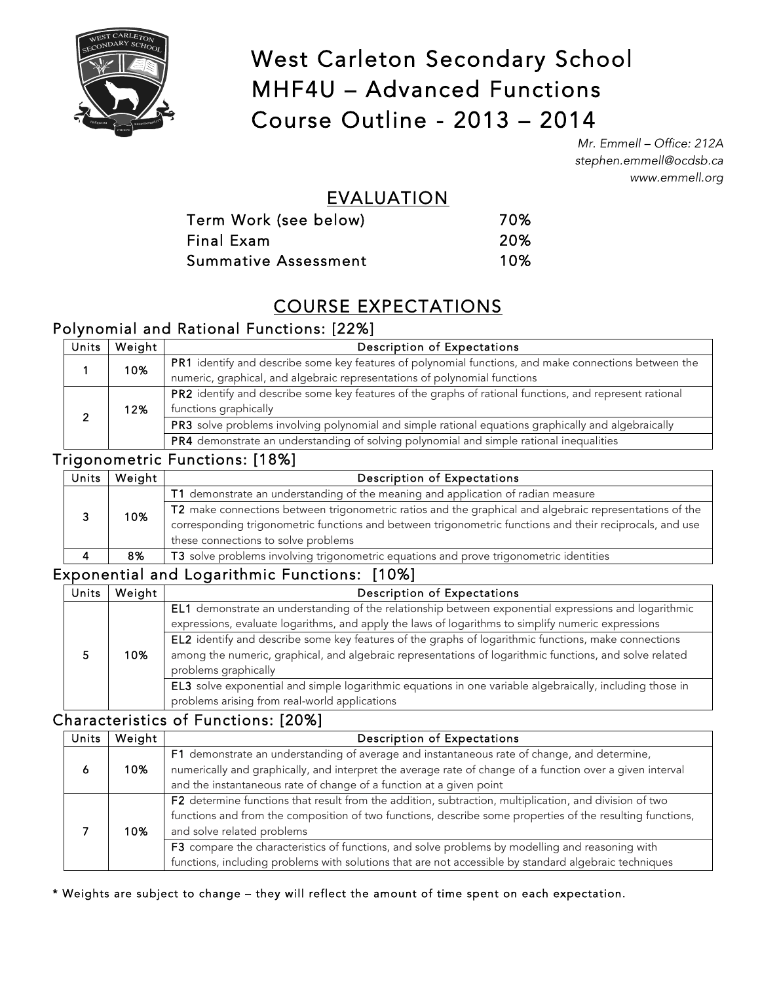

# West Carleton Secondary School MHF4U – Advanced Functions Course Outline - 2013 – 2014

*Mr. Emmell – Office: 212A stephen.emmell@ocdsb.ca www.emmell.org*

## EVALUATION

| Term Work (see below)       | 70% |
|-----------------------------|-----|
| Final Exam                  | 20% |
| <b>Summative Assessment</b> | 10% |

## COURSE EXPECTATIONS

## Polynomial and Rational Functions: [22%]

| <b>Units</b> | Weight | <b>Description of Expectations</b>                                                                      |
|--------------|--------|---------------------------------------------------------------------------------------------------------|
|              | 10%    | PR1 identify and describe some key features of polynomial functions, and make connections between the   |
|              |        | numeric, graphical, and algebraic representations of polynomial functions                               |
|              |        | PR2 identify and describe some key features of the graphs of rational functions, and represent rational |
|              | 12%    | functions graphically                                                                                   |
|              |        | PR3 solve problems involving polynomial and simple rational equations graphically and algebraically     |
|              |        | PR4 demonstrate an understanding of solving polynomial and simple rational inequalities                 |

### Trigonometric Functions: [18%]

| Units | Weight | <b>Description of Expectations</b>                                                                       |
|-------|--------|----------------------------------------------------------------------------------------------------------|
|       |        | T1 demonstrate an understanding of the meaning and application of radian measure                         |
|       | 10%    | T2 make connections between trigonometric ratios and the graphical and algebraic representations of the  |
|       |        | corresponding trigonometric functions and between trigonometric functions and their reciprocals, and use |
|       |        | these connections to solve problems                                                                      |
|       | 8%     | T3 solve problems involving trigonometric equations and prove trigonometric identities                   |
|       |        |                                                                                                          |

### Exponential and Logarithmic Functions: [10%]

| Units | Weight | Description of Expectations                                                                                                                                                                                                             |
|-------|--------|-----------------------------------------------------------------------------------------------------------------------------------------------------------------------------------------------------------------------------------------|
|       |        | EL1 demonstrate an understanding of the relationship between exponential expressions and logarithmic<br>expressions, evaluate logarithms, and apply the laws of logarithms to simplify numeric expressions                              |
|       | 10%    | EL2 identify and describe some key features of the graphs of logarithmic functions, make connections<br>among the numeric, graphical, and algebraic representations of logarithmic functions, and solve related<br>problems graphically |
|       |        | EL3 solve exponential and simple logarithmic equations in one variable algebraically, including those in<br>problems arising from real-world applications                                                                               |

## Characteristics of Functions: [20%]

| Units | Weight | Description of Expectations                                                                               |
|-------|--------|-----------------------------------------------------------------------------------------------------------|
|       |        | F1 demonstrate an understanding of average and instantaneous rate of change, and determine,               |
|       | 10%    | numerically and graphically, and interpret the average rate of change of a function over a given interval |
|       |        | and the instantaneous rate of change of a function at a given point                                       |
|       |        | F2 determine functions that result from the addition, subtraction, multiplication, and division of two    |
|       |        | functions and from the composition of two functions, describe some properties of the resulting functions, |
|       | 10%    | and solve related problems                                                                                |
|       |        | F3 compare the characteristics of functions, and solve problems by modelling and reasoning with           |
|       |        | functions, including problems with solutions that are not accessible by standard algebraic techniques     |

\* Weights are subject to change – they will reflect the amount of time spent on each expectation.